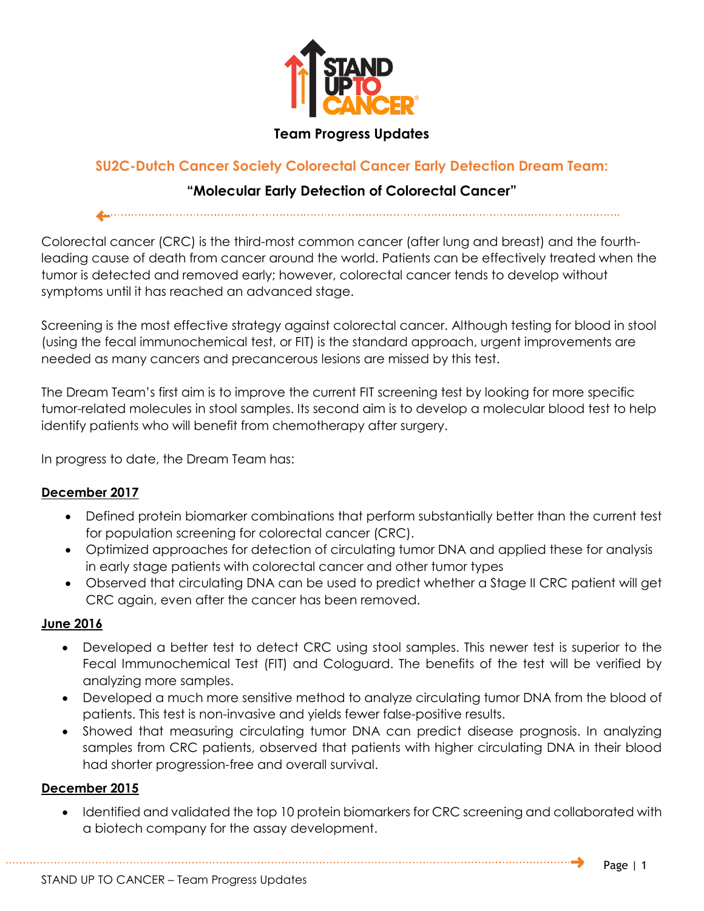

## **Team Progress Updates**

# **SU2C-Dutch Cancer Society Colorectal Cancer Early Detection Dream Team:**

## **"Molecular Early Detection of Colorectal Cancer"**

Colorectal cancer (CRC) is the third-most common cancer (after lung and breast) and the fourthleading cause of death from cancer around the world. Patients can be effectively treated when the tumor is detected and removed early; however, colorectal cancer tends to develop without symptoms until it has reached an advanced stage.

Screening is the most effective strategy against colorectal cancer. Although testing for blood in stool (using the fecal immunochemical test, or FIT) is the standard approach, urgent improvements are needed as many cancers and precancerous lesions are missed by this test.

The Dream Team's first aim is to improve the current FIT screening test by looking for more specific tumor-related molecules in stool samples. Its second aim is to develop a molecular blood test to help identify patients who will benefit from chemotherapy after surgery.

In progress to date, the Dream Team has:

### **December 2017**

- Defined protein biomarker combinations that perform substantially better than the current test for population screening for colorectal cancer (CRC).
- Optimized approaches for detection of circulating tumor DNA and applied these for analysis in early stage patients with colorectal cancer and other tumor types
- Observed that circulating DNA can be used to predict whether a Stage II CRC patient will get CRC again, even after the cancer has been removed.

### **June 2016**

- Developed a better test to detect CRC using stool samples. This newer test is superior to the Fecal Immunochemical Test (FIT) and Cologuard. The benefits of the test will be verified by analyzing more samples.
- Developed a much more sensitive method to analyze circulating tumor DNA from the blood of patients. This test is non-invasive and yields fewer false-positive results.
- Showed that measuring circulating tumor DNA can predict disease prognosis. In analyzing samples from CRC patients, observed that patients with higher circulating DNA in their blood had shorter progression-free and overall survival.

### **December 2015**

• Identified and validated the top 10 protein biomarkers for CRC screening and collaborated with a biotech company for the assay development.